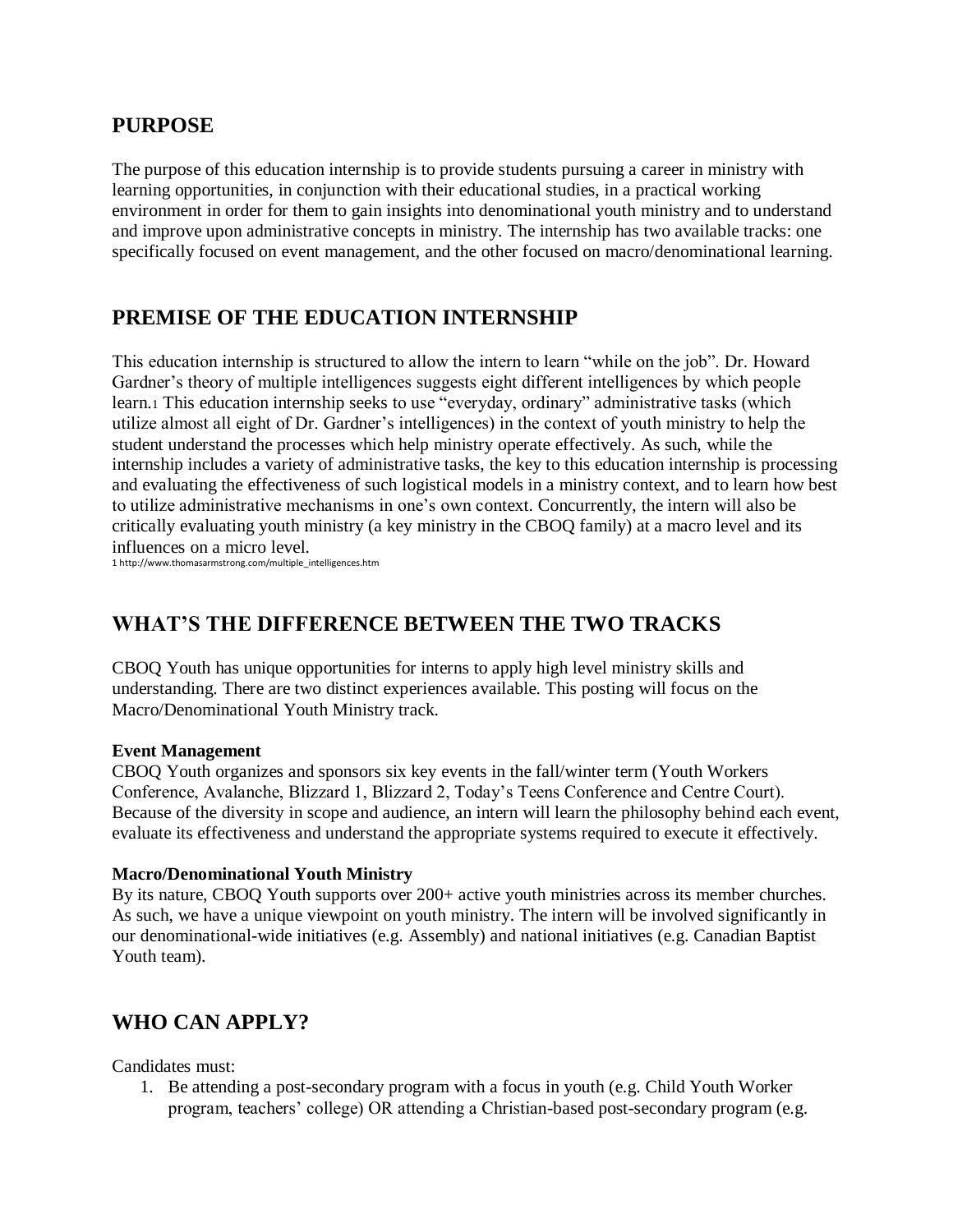### **PURPOSE**

The purpose of this education internship is to provide students pursuing a career in ministry with learning opportunities, in conjunction with their educational studies, in a practical working environment in order for them to gain insights into denominational youth ministry and to understand and improve upon administrative concepts in ministry. The internship has two available tracks: one specifically focused on event management, and the other focused on macro/denominational learning.

### **PREMISE OF THE EDUCATION INTERNSHIP**

This education internship is structured to allow the intern to learn "while on the job". Dr. Howard Gardner's theory of multiple intelligences suggests eight different intelligences by which people learn.<sup>1</sup> This education internship seeks to use "everyday, ordinary" administrative tasks (which utilize almost all eight of Dr. Gardner's intelligences) in the context of youth ministry to help the student understand the processes which help ministry operate effectively. As such, while the internship includes a variety of administrative tasks, the key to this education internship is processing and evaluating the effectiveness of such logistical models in a ministry context, and to learn how best to utilize administrative mechanisms in one's own context. Concurrently, the intern will also be critically evaluating youth ministry (a key ministry in the CBOQ family) at a macro level and its influences on a micro level.

1 http://www.thomasarmstrong.com/multiple\_intelligences.htm

## **WHAT'S THE DIFFERENCE BETWEEN THE TWO TRACKS**

CBOQ Youth has unique opportunities for interns to apply high level ministry skills and understanding. There are two distinct experiences available. This posting will focus on the Macro/Denominational Youth Ministry track.

#### **Event Management**

CBOQ Youth organizes and sponsors six key events in the fall/winter term (Youth Workers Conference, Avalanche, Blizzard 1, Blizzard 2, Today's Teens Conference and Centre Court). Because of the diversity in scope and audience, an intern will learn the philosophy behind each event, evaluate its effectiveness and understand the appropriate systems required to execute it effectively.

#### **Macro/Denominational Youth Ministry**

By its nature, CBOQ Youth supports over  $200+$  active youth ministries across its member churches. As such, we have a unique viewpoint on youth ministry. The intern will be involved significantly in our denominational-wide initiatives (e.g. Assembly) and national initiatives (e.g. Canadian Baptist Youth team).

## **WHO CAN APPLY?**

Candidates must:

1. Be attending a post-secondary program with a focus in youth (e.g. Child Youth Worker program, teachers' college) OR attending a Christian-based post-secondary program (e.g.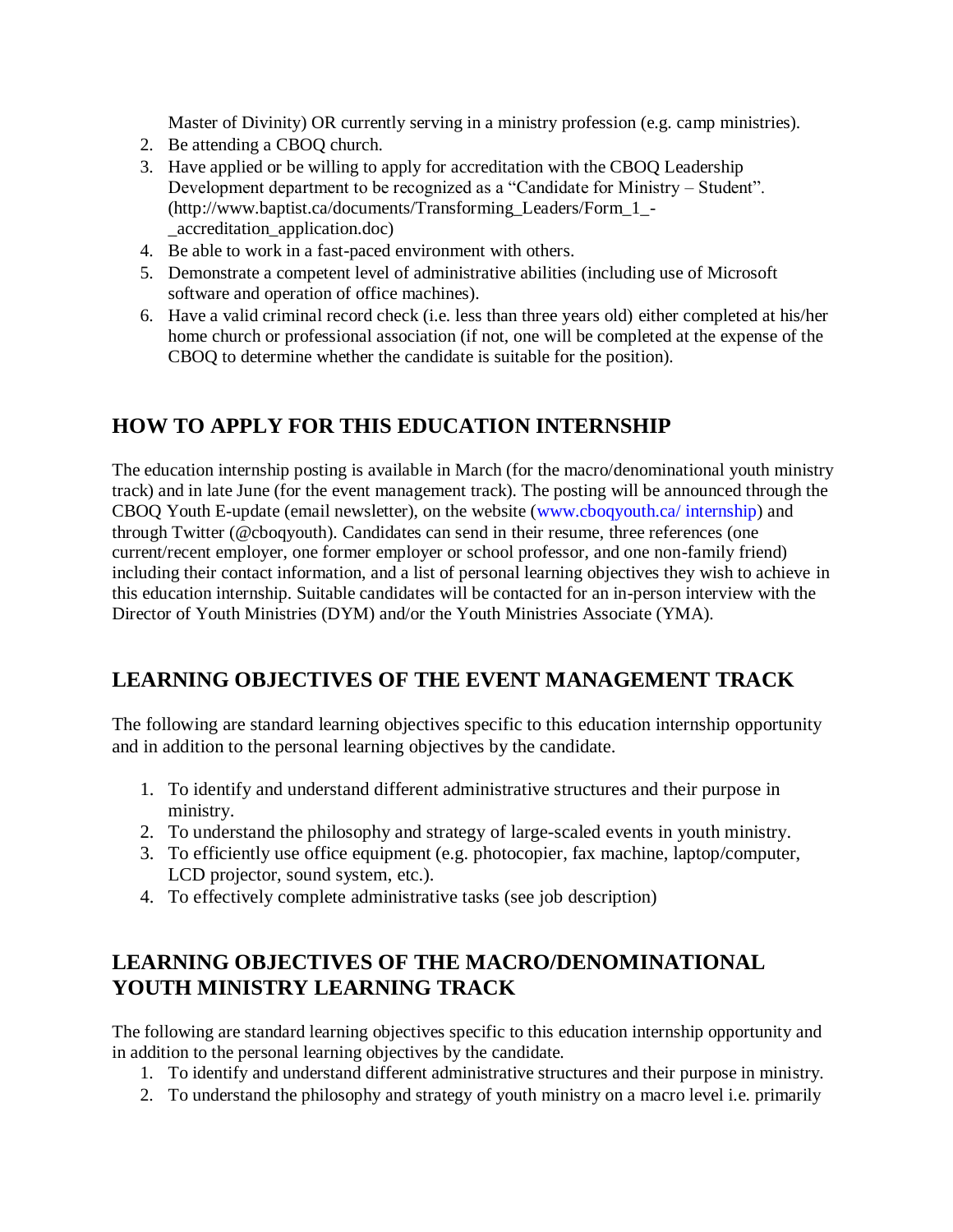Master of Divinity) OR currently serving in a ministry profession (e.g. camp ministries).

- 2. Be attending a CBOQ church.
- 3. Have applied or be willing to apply for accreditation with the CBOQ Leadership Development department to be recognized as a "Candidate for Ministry – Student". (http://www.baptist.ca/documents/Transforming\_Leaders/Form\_1\_- \_accreditation\_application.doc)
- 4. Be able to work in a fast-paced environment with others.
- 5. Demonstrate a competent level of administrative abilities (including use of Microsoft software and operation of office machines).
- 6. Have a valid criminal record check (i.e. less than three years old) either completed at his/her home church or professional association (if not, one will be completed at the expense of the CBOQ to determine whether the candidate is suitable for the position).

# **HOW TO APPLY FOR THIS EDUCATION INTERNSHIP**

The education internship posting is available in March (for the macro/denominational youth ministry track) and in late June (for the event management track). The posting will be announced through the CBOQ Youth E-update (email newsletter), on the website [\(www.cboqyouth.ca/ internship\)](http://www.cboqyouth.ca/%20internship) and through Twitter (@cboqyouth). Candidates can send in their resume, three references (one current/recent employer, one former employer or school professor, and one non-family friend) including their contact information, and a list of personal learning objectives they wish to achieve in this education internship. Suitable candidates will be contacted for an in-person interview with the Director of Youth Ministries (DYM) and/or the Youth Ministries Associate (YMA).

# **LEARNING OBJECTIVES OF THE EVENT MANAGEMENT TRACK**

The following are standard learning objectives specific to this education internship opportunity and in addition to the personal learning objectives by the candidate.

- 1. To identify and understand different administrative structures and their purpose in ministry.
- 2. To understand the philosophy and strategy of large-scaled events in youth ministry.
- 3. To efficiently use office equipment (e.g. photocopier, fax machine, laptop/computer, LCD projector, sound system, etc.).
- 4. To effectively complete administrative tasks (see job description)

# **LEARNING OBJECTIVES OF THE MACRO/DENOMINATIONAL YOUTH MINISTRY LEARNING TRACK**

The following are standard learning objectives specific to this education internship opportunity and in addition to the personal learning objectives by the candidate.

- 1. To identify and understand different administrative structures and their purpose in ministry.
- 2. To understand the philosophy and strategy of youth ministry on a macro level i.e. primarily